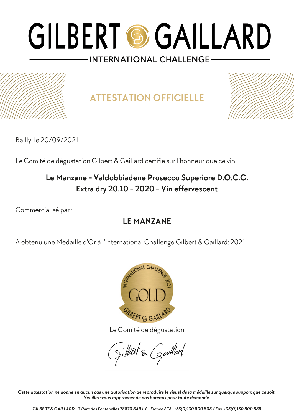

**ATTESTATION OFFICIELLE**



Bailly, le 20/09/2021

Le Comité de dégustation Gilbert & Gaillard certifie sur l'honneur que ce vin :

### **Le Manzane - Valdobbiadene Prosecco Superiore D.O.C.G. Extra dry 20.10 - 2020 - Vin effervescent**

Commercialisé par :

### **LE MANZANE**

A obtenu une Médaille d'Or à l'International Challenge Gilbert & Gaillard: 2021



Le Comité de dégustation

gilbert & Goullard

*Cette attestation ne donne en aucun cas une autorisation de reproduire le visuel de la médaille sur quelque support que ce soit. Veuillez-vous rapprocher de nos bureaux pour toute demande.*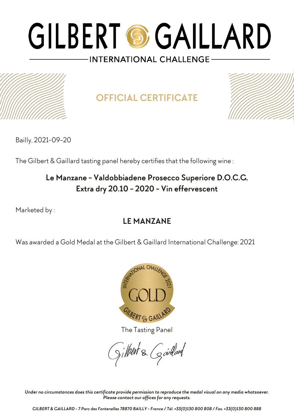

**OFFICIAL CERTIFICATE**



Bailly, 2021-09-20

The Gilbert & Gaillard tasting panel hereby certifies that the following wine :

### **Le Manzane - Valdobbiadene Prosecco Superiore D.O.C.G. Extra dry 20.10 - 2020 - Vin effervescent**

Marketed by :

### **LE MANZANE**

Was awarded a Gold Medal at the Gilbert & Gaillard International Challenge: 2021



The Tasting Panel

gilbert & Gardard

*Under no circumstances does this certificate provide permission to reproduce the medal visual on any media whatsoever. Please contact our offices for any requests.*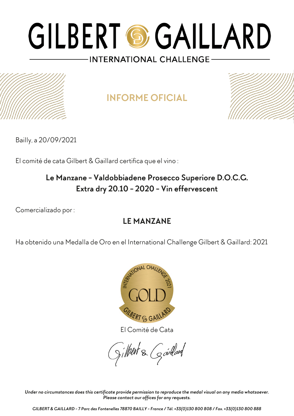## **INFORME OFICIAL**



Bailly, a 20/09/2021

El comité de cata Gilbert & Gaillard certifica que el vino :

### **Le Manzane - Valdobbiadene Prosecco Superiore D.O.C.G. Extra dry 20.10 - 2020 - Vin effervescent**

Comercializado por :

### **LE MANZANE**

Ha obtenido una Medalla de Oro en el International Challenge Gilbert & Gaillard: 2021



El Comité de Cata

gilbert & Gardard

*Under no circumstances does this certificate provide permission to reproduce the medal visual on any media whatsoever. Please contact our offices for any requests.*